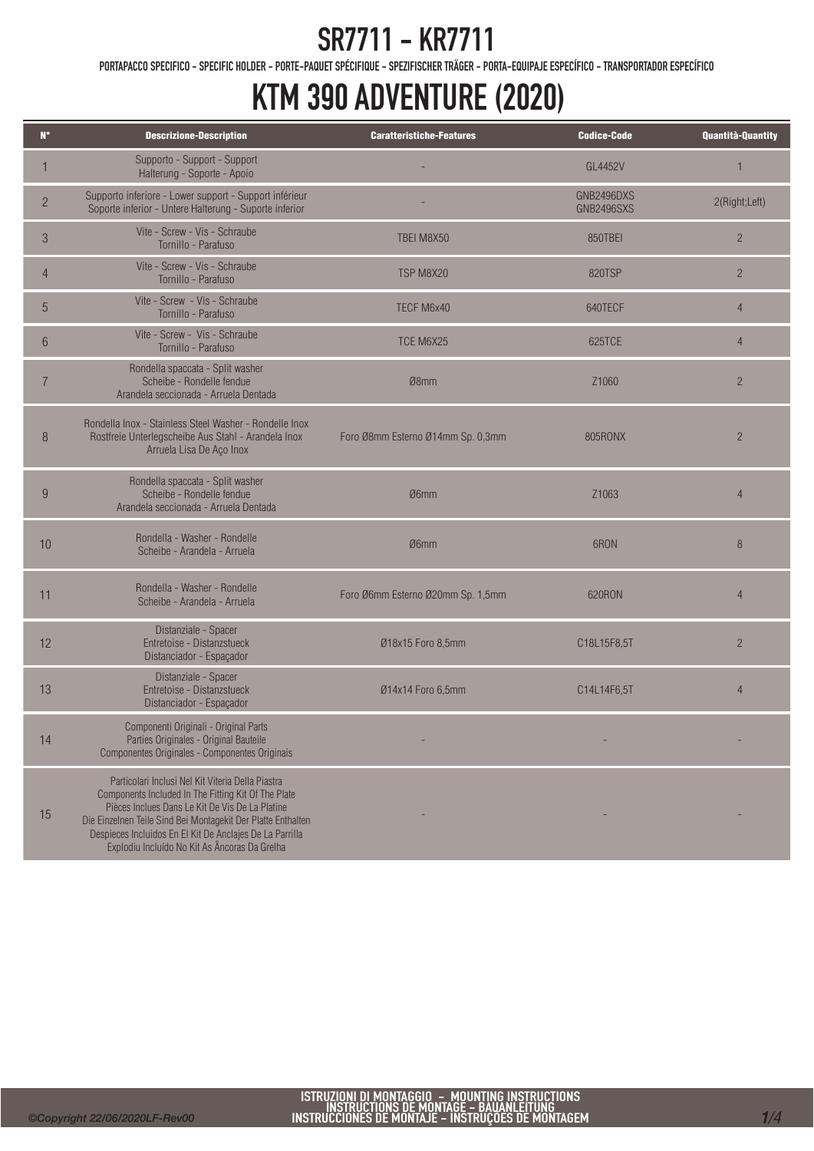PORTAPACCO SPECIFICO - SPECIFIC HOLDER - PORTE-PAQUET SPÉCIFIQUE - SPEZIFISCHER TRÄGER - PORTA-EQUIPAJE ESPECÍFICO - TRANSPORTADOR ESPECÍFICO

## KTM 390 ADVENTURE (2020)

| $N^{\circ}$    | <b>Descrizione-Description</b>                                                                                                                                                                                                                                                                                                           | <b>Caratteristiche-Features</b>   | <b>Codice-Code</b>       | <b>Quantità-Quantity</b> |
|----------------|------------------------------------------------------------------------------------------------------------------------------------------------------------------------------------------------------------------------------------------------------------------------------------------------------------------------------------------|-----------------------------------|--------------------------|--------------------------|
|                | Supporto - Support - Support<br>Halterung - Soporte - Apoio                                                                                                                                                                                                                                                                              |                                   | GL4452V                  | $\mathbf{1}$             |
| $\overline{2}$ | Supporto inferiore - Lower support - Support inférieur<br>Soporte inferior - Untere Halterung - Suporte inferior                                                                                                                                                                                                                         |                                   | GNB2496DXS<br>GNB2496SXS | 2(Right;Left)            |
| $\mathcal{S}$  | Vite - Screw - Vis - Schraube<br>Tornillo - Parafuso                                                                                                                                                                                                                                                                                     | TBEI M8X50                        | 850TBEI                  | $\overline{2}$           |
| $\overline{4}$ | Vite - Screw - Vis - Schraube<br>Tornillo - Parafuso                                                                                                                                                                                                                                                                                     | TSP M8X20                         | 820TSP                   | $\overline{c}$           |
| 5              | Vite - Screw - Vis - Schraube<br>Tornillo - Parafuso                                                                                                                                                                                                                                                                                     | TECF M6x40                        | 640TECF                  | $\overline{4}$           |
| 6              | Vite - Screw - Vis - Schraube<br>Tornillo - Parafuso                                                                                                                                                                                                                                                                                     | TCE M6X25                         | 625TCE                   | $\overline{4}$           |
| $\overline{7}$ | Rondella spaccata - Split washer<br>Scheibe - Rondelle fendue<br>Arandela seccionada - Arruela Dentada                                                                                                                                                                                                                                   | Ø8mm                              | Z1060                    | $\overline{2}$           |
| 8              | Rondella Inox - Stainless Steel Washer - Rondelle Inox<br>Rostfreie Unterlegscheibe Aus Stahl - Arandela Inox<br>Arruela Lisa De Aço Inox                                                                                                                                                                                                | Foro Ø8mm Esterno Ø14mm Sp. 0,3mm | 805RONX                  | $\overline{2}$           |
| 9              | Rondella spaccata - Split washer<br>Scheibe - Rondelle fendue<br>Arandela seccionada - Arruela Dentada                                                                                                                                                                                                                                   | Ø6mm                              | Z1063                    | $\overline{4}$           |
| 10             | Rondella - Washer - Rondelle<br>Scheibe - Arandela - Arruela                                                                                                                                                                                                                                                                             | Ø6mm                              | 6RON                     | 8                        |
| 11             | Rondella - Washer - Rondelle<br>Scheibe - Arandela - Arruela                                                                                                                                                                                                                                                                             | Foro Ø6mm Esterno Ø20mm Sp. 1,5mm | 620RON                   | $\overline{4}$           |
| 12             | Distanziale - Spacer<br>Entretoise - Distanzstueck<br>Distanciador - Espaçador                                                                                                                                                                                                                                                           | Ø18x15 Foro 8,5mm                 | C18L15F8,5T              | $\overline{2}$           |
| 13             | Distanziale - Spacer<br>Entretoise - Distanzstueck<br>Distanciador - Espaçador                                                                                                                                                                                                                                                           | Ø14x14 Foro 6,5mm                 | C14L14F6,5T              | $\overline{4}$           |
| 14             | Componenti Originali - Original Parts<br>Parties Originales - Original Bauteile<br>Componentes Originales - Componentes Originais                                                                                                                                                                                                        |                                   |                          |                          |
| 15             | Particolari Inclusi Nel Kit Viteria Della Piastra<br>Components Included In The Fitting Kit Of The Plate<br>Pièces Inclues Dans Le Kit De Vis De La Platine<br>Die Einzelnen Teile Sind Bei Montagekit Der Platte Enthalten<br>Despieces Incluidos En El Kit De Anclajes De La Parrilla<br>Explodiu Incluído No Kit As Âncoras Da Grelha |                                   |                          |                          |

Ī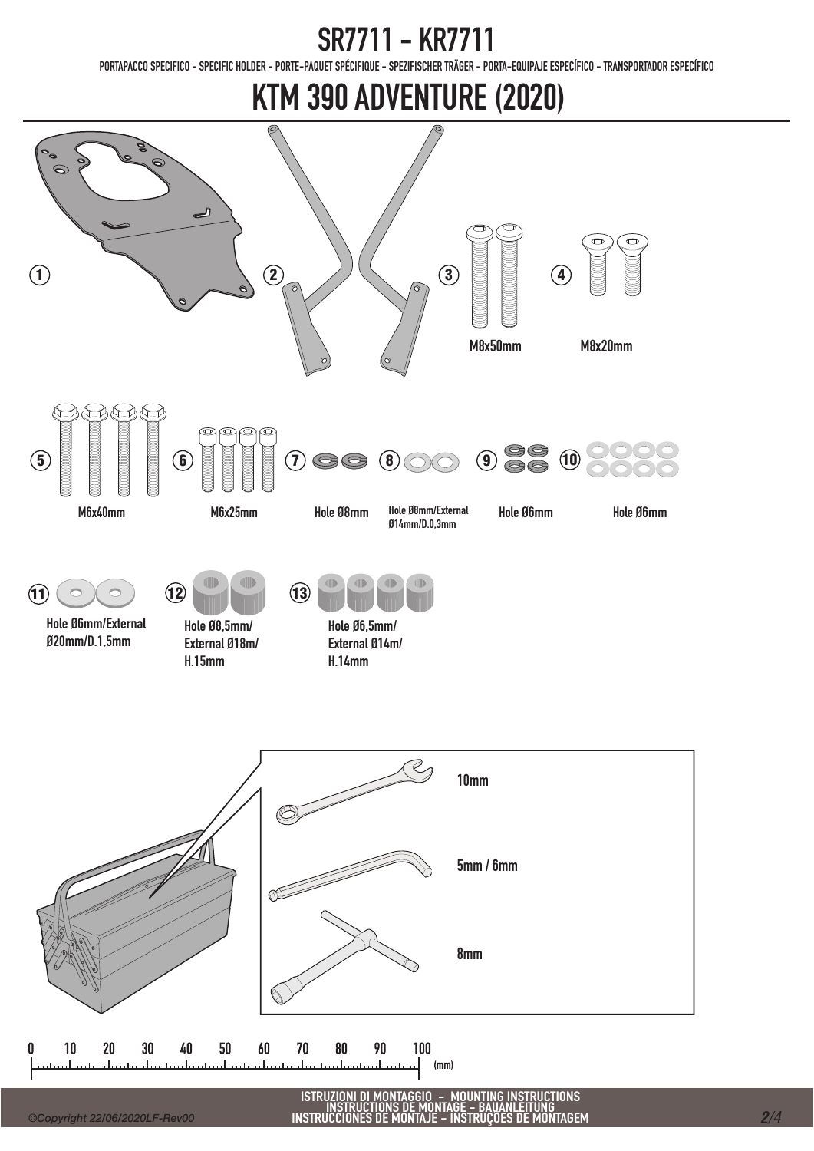PORTAPACCO SPECIFICO - SPECIFIC HOLDER - PORTE-PAQUET SPÉCIFIQUE - SPEZIFISCHER TRÄGER - PORTA-EQUIPAJE ESPECÍFICO - TRANSPORTADOR ESPECÍFICO

# KTM 390 ADVENTURE (2020)



60

70

80

90

100  $(mm)$ 

50

 $\mathbf{0}$ 

 $10$ 

 $20$ 

30

40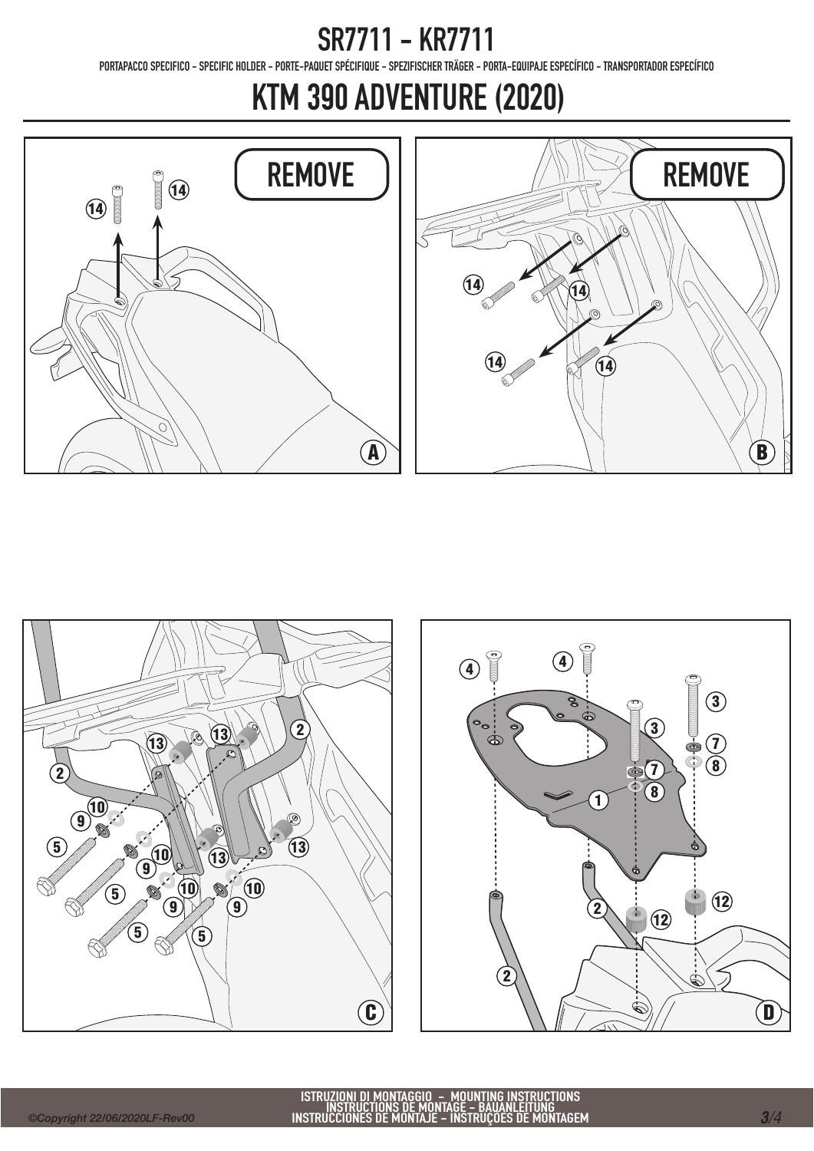PORTAPACCO SPECIFICO - SPECIFIC HOLDER - PORTE-PAQUET SPÉCIFIQUE - SPEZIFISCHER TRÄGER - PORTA-EQUIPAJE ESPECÍFICO - TRANSPORTADOR ESPECÍFICO

# KTM 390 ADVENTURE (2020)